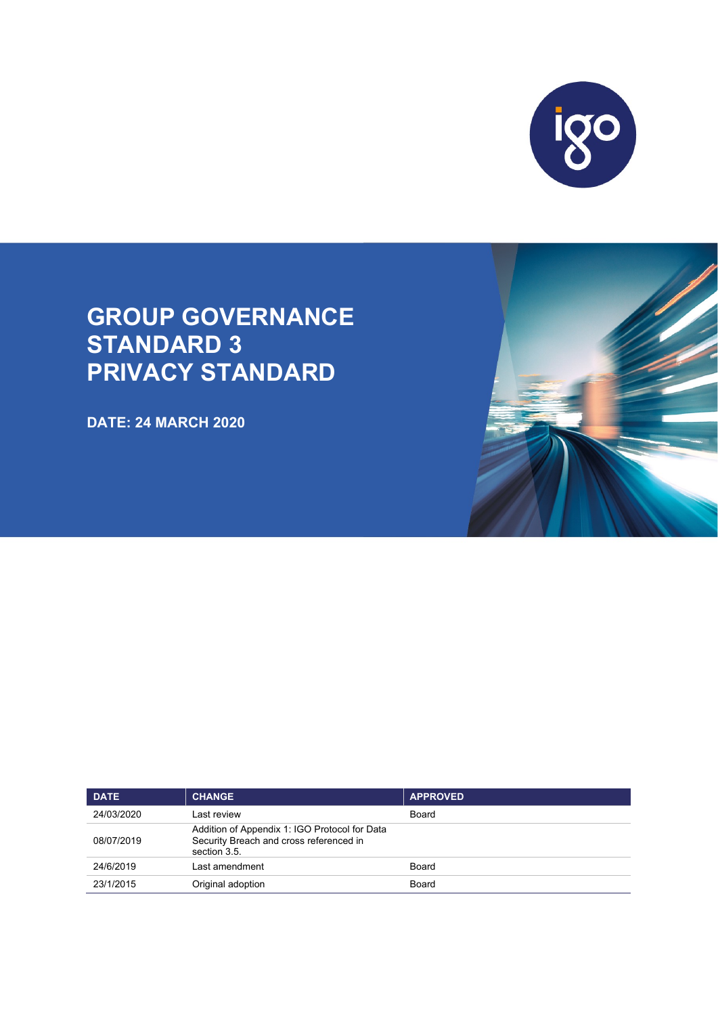

# **GROUP GOVERNANCE STANDARD 3 PRIVACY STANDARD**

**DATE: 24 MARCH 2020**

| <b>DATE</b> | <b>CHANGE</b>                                                                                            | <b>APPROVED</b> |
|-------------|----------------------------------------------------------------------------------------------------------|-----------------|
| 24/03/2020  | Last review                                                                                              | Board           |
| 08/07/2019  | Addition of Appendix 1: IGO Protocol for Data<br>Security Breach and cross referenced in<br>section 3.5. |                 |
| 24/6/2019   | Last amendment                                                                                           | Board           |
| 23/1/2015   | Original adoption                                                                                        | Board           |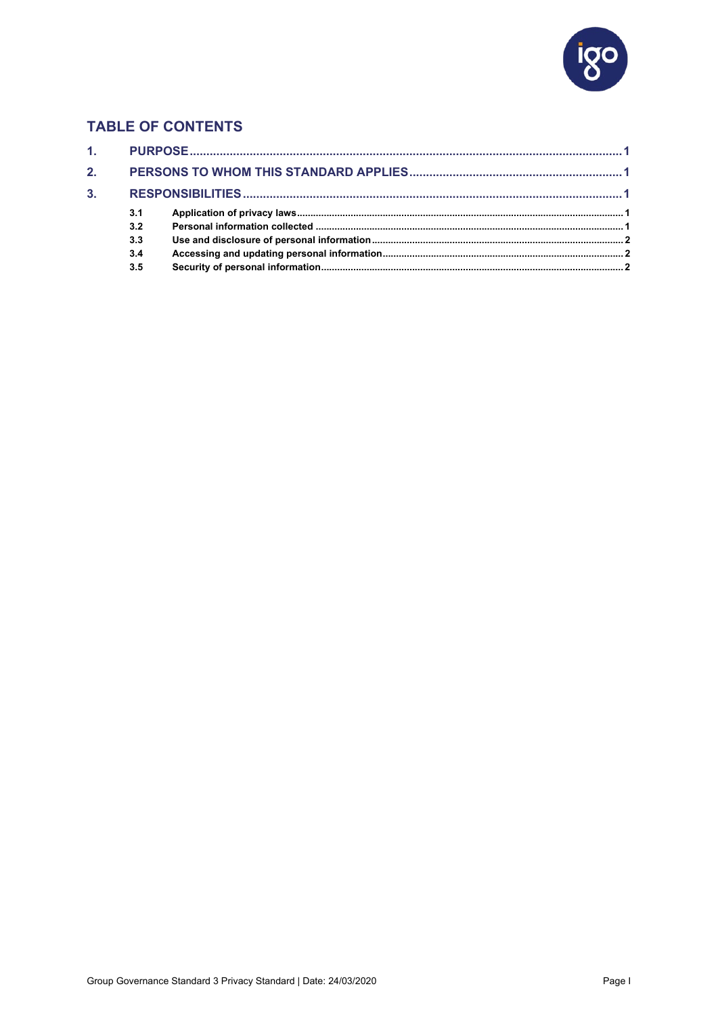

## **TABLE OF CONTENTS**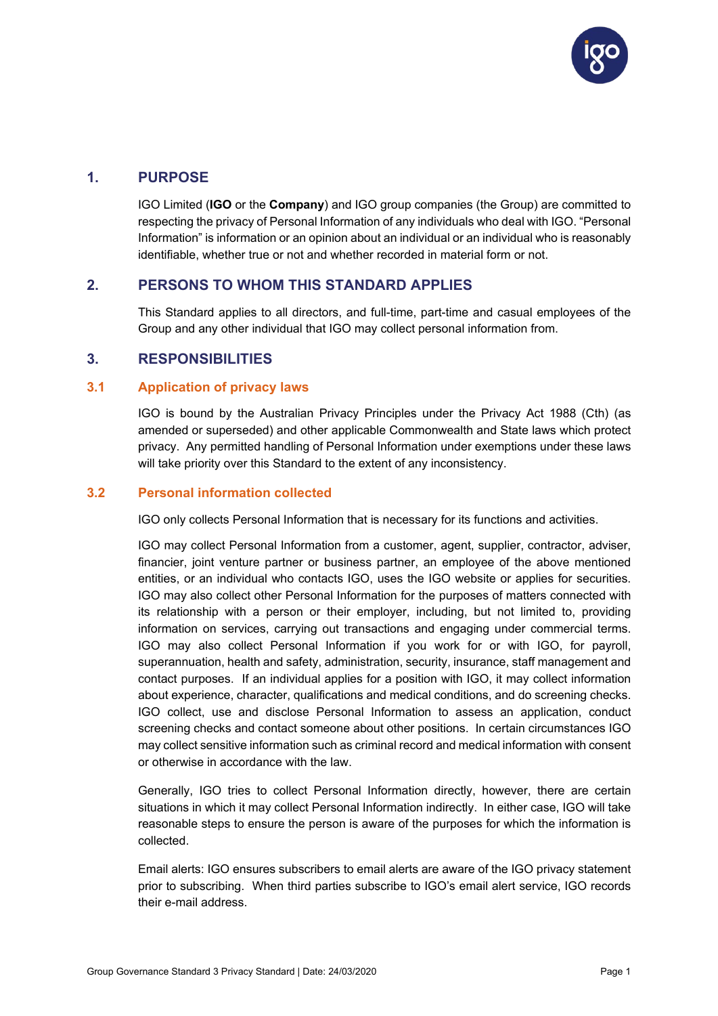

## <span id="page-2-0"></span>**1. PURPOSE**

IGO Limited (**IGO** or the **Company**) and IGO group companies (the Group) are committed to respecting the privacy of Personal Information of any individuals who deal with IGO. "Personal Information" is information or an opinion about an individual or an individual who is reasonably identifiable, whether true or not and whether recorded in material form or not.

## <span id="page-2-1"></span>**2. PERSONS TO WHOM THIS STANDARD APPLIES**

This Standard applies to all directors, and full-time, part-time and casual employees of the Group and any other individual that IGO may collect personal information from.

## <span id="page-2-2"></span>**3. RESPONSIBILITIES**

#### <span id="page-2-3"></span>**3.1 Application of privacy laws**

IGO is bound by the Australian Privacy Principles under the Privacy Act 1988 (Cth) (as amended or superseded) and other applicable Commonwealth and State laws which protect privacy. Any permitted handling of Personal Information under exemptions under these laws will take priority over this Standard to the extent of any inconsistency.

#### <span id="page-2-4"></span>**3.2 Personal information collected**

IGO only collects Personal Information that is necessary for its functions and activities.

IGO may collect Personal Information from a customer, agent, supplier, contractor, adviser, financier, joint venture partner or business partner, an employee of the above mentioned entities, or an individual who contacts IGO, uses the IGO website or applies for securities. IGO may also collect other Personal Information for the purposes of matters connected with its relationship with a person or their employer, including, but not limited to, providing information on services, carrying out transactions and engaging under commercial terms. IGO may also collect Personal Information if you work for or with IGO, for payroll, superannuation, health and safety, administration, security, insurance, staff management and contact purposes. If an individual applies for a position with IGO, it may collect information about experience, character, qualifications and medical conditions, and do screening checks. IGO collect, use and disclose Personal Information to assess an application, conduct screening checks and contact someone about other positions. In certain circumstances IGO may collect sensitive information such as criminal record and medical information with consent or otherwise in accordance with the law.

Generally, IGO tries to collect Personal Information directly, however, there are certain situations in which it may collect Personal Information indirectly. In either case, IGO will take reasonable steps to ensure the person is aware of the purposes for which the information is collected.

Email alerts: IGO ensures subscribers to email alerts are aware of the IGO privacy statement prior to subscribing. When third parties subscribe to IGO's email alert service, IGO records their e-mail address.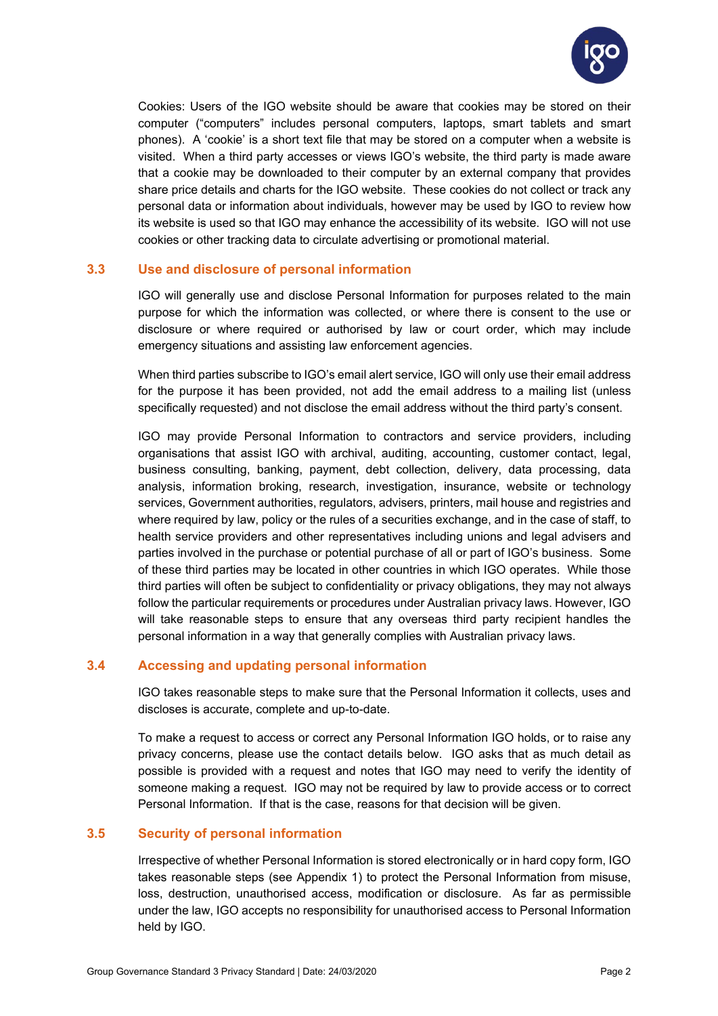

Cookies: Users of the IGO website should be aware that cookies may be stored on their computer ("computers" includes personal computers, laptops, smart tablets and smart phones). A 'cookie' is a short text file that may be stored on a computer when a website is visited. When a third party accesses or views IGO's website, the third party is made aware that a cookie may be downloaded to their computer by an external company that provides share price details and charts for the IGO website. These cookies do not collect or track any personal data or information about individuals, however may be used by IGO to review how its website is used so that IGO may enhance the accessibility of its website. IGO will not use cookies or other tracking data to circulate advertising or promotional material.

## <span id="page-3-0"></span>**3.3 Use and disclosure of personal information**

IGO will generally use and disclose Personal Information for purposes related to the main purpose for which the information was collected, or where there is consent to the use or disclosure or where required or authorised by law or court order, which may include emergency situations and assisting law enforcement agencies.

When third parties subscribe to IGO's email alert service, IGO will only use their email address for the purpose it has been provided, not add the email address to a mailing list (unless specifically requested) and not disclose the email address without the third party's consent.

IGO may provide Personal Information to contractors and service providers, including organisations that assist IGO with archival, auditing, accounting, customer contact, legal, business consulting, banking, payment, debt collection, delivery, data processing, data analysis, information broking, research, investigation, insurance, website or technology services, Government authorities, regulators, advisers, printers, mail house and registries and where required by law, policy or the rules of a securities exchange, and in the case of staff, to health service providers and other representatives including unions and legal advisers and parties involved in the purchase or potential purchase of all or part of IGO's business. Some of these third parties may be located in other countries in which IGO operates. While those third parties will often be subject to confidentiality or privacy obligations, they may not always follow the particular requirements or procedures under Australian privacy laws. However, IGO will take reasonable steps to ensure that any overseas third party recipient handles the personal information in a way that generally complies with Australian privacy laws.

## <span id="page-3-1"></span>**3.4 Accessing and updating personal information**

IGO takes reasonable steps to make sure that the Personal Information it collects, uses and discloses is accurate, complete and up-to-date.

To make a request to access or correct any Personal Information IGO holds, or to raise any privacy concerns, please use the contact details below. IGO asks that as much detail as possible is provided with a request and notes that IGO may need to verify the identity of someone making a request. IGO may not be required by law to provide access or to correct Personal Information. If that is the case, reasons for that decision will be given.

#### <span id="page-3-2"></span>**3.5 Security of personal information**

Irrespective of whether Personal Information is stored electronically or in hard copy form, IGO takes reasonable steps (see [Appendix 1\)](#page-5-0) to protect the Personal Information from misuse, loss, destruction, unauthorised access, modification or disclosure. As far as permissible under the law, IGO accepts no responsibility for unauthorised access to Personal Information held by IGO.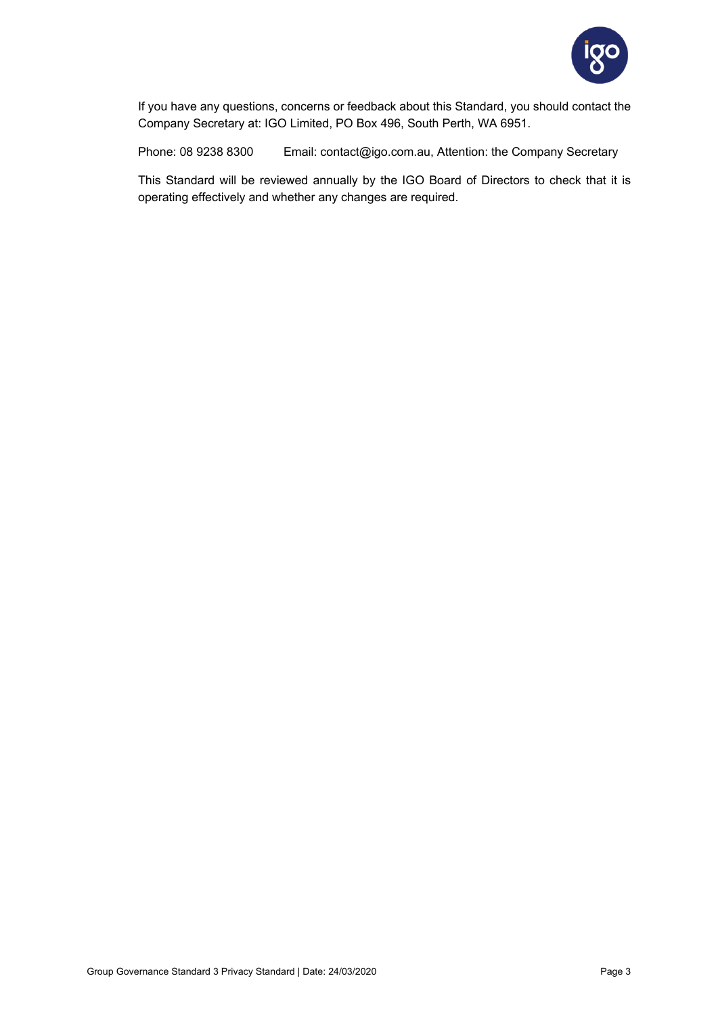

If you have any questions, concerns or feedback about this Standard, you should contact the Company Secretary at: IGO Limited, PO Box 496, South Perth, WA 6951.

Phone: 08 9238 8300 Email: contact@igo.com.au, Attention: the Company Secretary

This Standard will be reviewed annually by the IGO Board of Directors to check that it is operating effectively and whether any changes are required.